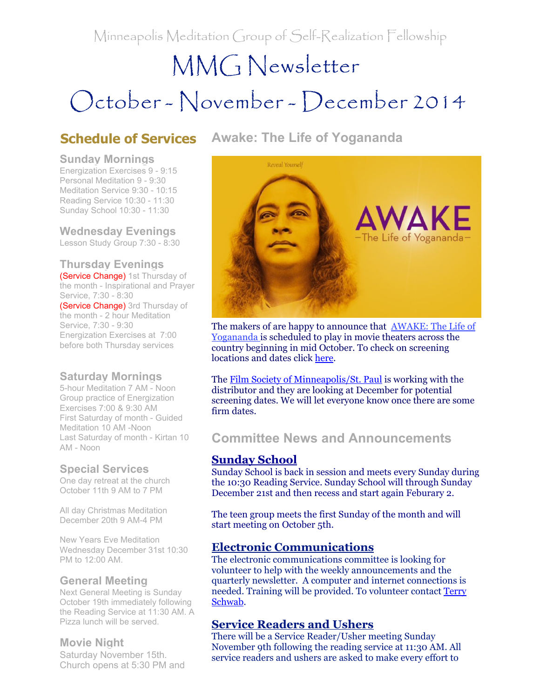Minneapolis Meditation Group of Self-Realization Fellowship

Awake: The Life of Yogananda

# MMG Newsletter October - November - December 2014

# Schedule of Services

#### Sunday Mornings

Energization Exercises 9 - 9:15 Personal Meditation 9 - 9:30 Meditation Service 9:30 - 10:15 Reading Service 10:30 - 11:30 Sunday School 10:30 - 11:30

Wednesday Evenings Lesson Study Group 7:30 - 8:30

Thursday Evenings **(Service Change)** 1st Thursday of the month - Inspirational and Prayer Service, 7:30 - 8:30 (Service Change) 3rd Thursday of the month - 2 hour Meditation Service, 7:30 - 9:30 Energization Exercises at 7:00 before both Thursday services

### Saturday Mornings

5-hour Meditation 7 AM - Noon Group practice of Energization Exercises 7:00 & 9:30 AM First Saturday of month - Guided Meditation 10 AM -Noon Last Saturday of month - Kirtan 10 AM - Noon

### Special Services

One day retreat at the church October 11th 9 AM to 7 PM

All day Christmas Meditation December 20th 9 AM-4 PM

New Years Eve Meditation Wednesday December 31st 10:30 PM to 12:00 AM.

### General Meeting

Next General Meeting is Sunday October 19th immediately following the Reading Service at 11:30 AM. A Pizza lunch will be served.

### Movie Night

Saturday November 15th*.* Church opens at 5:30 PM and



The makers of are happy to announce that **AWAKE:** The Life of [Yogananda](http://r20.rs6.net/tn.jsp?e=001YByptj_a0jvZNlUoayxiGjeBK4C3cGSsqnAipuLOpcQy7_EwO83_9TFHTcg33LzUiWjy5znTOlnq-xA3Ql63NNJbtUO78ke29cODUy3LjMQ-7y127kVcOlLdpk2ZIrxhDn4WrlWOIqdfhDGM4c6bzQ==) is scheduled to play in movie theaters across the country beginning in mid October. To check on screening locations and dates click [here](http://r20.rs6.net/tn.jsp?e=001YByptj_a0jvZNlUoayxiGjeBK4C3cGSsqnAipuLOpcQy7_EwO83_9TFHTcg33LzUiWjy5znTOln92zYsbyc3nXKfuZ_By26kO77dUrsfd6fOEv51mGns2bQ_ZPKuwwVC0FG2wRZ4__4yDENPcr7EJg==).

The Film Society of [Minneapolis/St.](http://r20.rs6.net/tn.jsp?e=001YByptj_a0jvZNlUoayxiGjeBK4C3cGSsqnAipuLOpcQy7_EwO83_9TFHTcg33LzUiWjy5znTOlmC9hHfjK7Qzqo_lmQwRoAw9hHD0auPJka821ibFLUpZ_oz2GBr3dvGS_EBMwsfK_OyBrarqjvp-A==) Paul is working with the distributor and they are looking at December for potential screening dates. We will let everyone know once there are some firm dates.

# Committee News and Announcements

## Sunday School

Sunday School is back in session and meets every Sunday during the 10:30 Reading Service. Sunday School will through Sunday December 21st and then recess and start again Feburary 2.

The teen group meets the first Sunday of the month and will start meeting on October 5th.

### Electronic Communications

The electronic communications committee is looking for volunteer to help with the weekly announcements and the quarterly newsletter. A computer and internet connections is needed. Training will be [provided.](mailto:terry@schwabreg.com) To volunteer contact Terry Schwab.

### Service Readers and Ushers

There will be a Service Reader/Usher meeting Sunday November 9th following the reading service at 11:30 AM. All service readers and ushers are asked to make every effort to